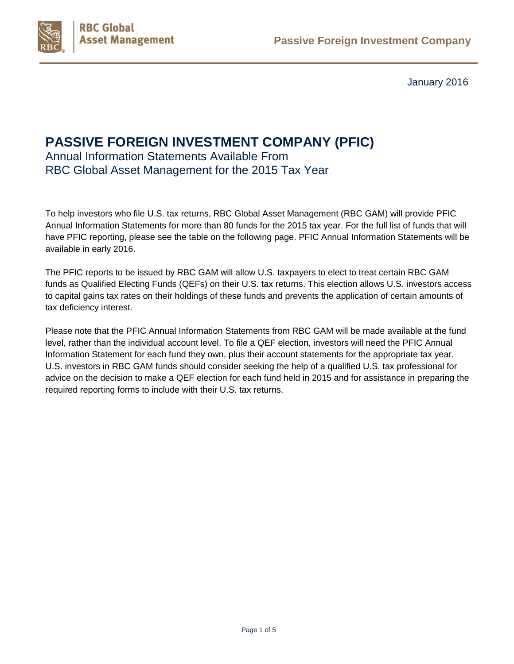

January 2016

# **PASSIVE FOREIGN INVESTMENT COMPANY (PFIC)**

Annual Information Statements Available From RBC Global Asset Management for the 2015 Tax Year

To help investors who file U.S. tax returns, RBC Global Asset Management (RBC GAM) will provide PFIC Annual Information Statements for more than 80 funds for the 2015 tax year. For the full list of funds that will have PFIC reporting, please see the table on the following page. PFIC Annual Information Statements will be available in early 2016.

The PFIC reports to be issued by RBC GAM will allow U.S. taxpayers to elect to treat certain RBC GAM funds as Qualified Electing Funds (QEFs) on their U.S. tax returns. This election allows U.S. investors access to capital gains tax rates on their holdings of these funds and prevents the application of certain amounts of tax deficiency interest.

Please note that the PFIC Annual Information Statements from RBC GAM will be made available at the fund level, rather than the individual account level. To file a QEF election, investors will need the PFIC Annual Information Statement for each fund they own, plus their account statements for the appropriate tax year. U.S. investors in RBC GAM funds should consider seeking the help of a qualified U.S. tax professional for advice on the decision to make a QEF election for each fund held in 2015 and for assistance in preparing the required reporting forms to include with their U.S. tax returns.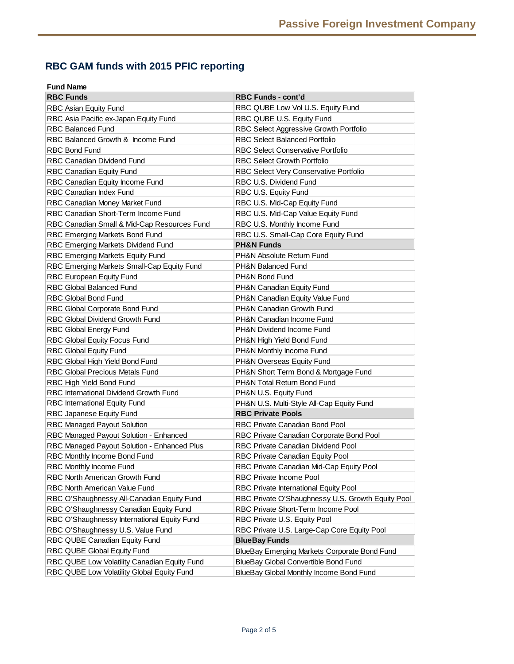# **RBC GAM funds with 2015 PFIC reporting**

#### **Fund Name**

| <b>RBC Funds</b>                             | <b>RBC Funds - cont'd</b>                         |
|----------------------------------------------|---------------------------------------------------|
| RBC Asian Equity Fund                        | RBC QUBE Low Vol U.S. Equity Fund                 |
| RBC Asia Pacific ex-Japan Equity Fund        | RBC QUBE U.S. Equity Fund                         |
| RBC Balanced Fund                            | RBC Select Aggressive Growth Portfolio            |
| RBC Balanced Growth & Income Fund            | <b>RBC Select Balanced Portfolio</b>              |
| <b>RBC Bond Fund</b>                         | <b>RBC Select Conservative Portfolio</b>          |
| RBC Canadian Dividend Fund                   | <b>RBC Select Growth Portfolio</b>                |
| RBC Canadian Equity Fund                     | RBC Select Very Conservative Portfolio            |
| RBC Canadian Equity Income Fund              | RBC U.S. Dividend Fund                            |
| RBC Canadian Index Fund                      | RBC U.S. Equity Fund                              |
| RBC Canadian Money Market Fund               | RBC U.S. Mid-Cap Equity Fund                      |
| RBC Canadian Short-Term Income Fund          | RBC U.S. Mid-Cap Value Equity Fund                |
| RBC Canadian Small & Mid-Cap Resources Fund  | RBC U.S. Monthly Income Fund                      |
| RBC Emerging Markets Bond Fund               | RBC U.S. Small-Cap Core Equity Fund               |
| RBC Emerging Markets Dividend Fund           | <b>PH&amp;N Funds</b>                             |
| RBC Emerging Markets Equity Fund             | PH&N Absolute Return Fund                         |
| RBC Emerging Markets Small-Cap Equity Fund   | PH&N Balanced Fund                                |
| RBC European Equity Fund                     | PH&N Bond Fund                                    |
| RBC Global Balanced Fund                     | PH&N Canadian Equity Fund                         |
| <b>RBC Global Bond Fund</b>                  | PH&N Canadian Equity Value Fund                   |
| RBC Global Corporate Bond Fund               | PH&N Canadian Growth Fund                         |
| RBC Global Dividend Growth Fund              | PH&N Canadian Income Fund                         |
| RBC Global Energy Fund                       | PH&N Dividend Income Fund                         |
| <b>RBC Global Equity Focus Fund</b>          | PH&N High Yield Bond Fund                         |
| <b>RBC Global Equity Fund</b>                | PH&N Monthly Income Fund                          |
| RBC Global High Yield Bond Fund              | <b>PH&amp;N Overseas Equity Fund</b>              |
| <b>RBC Global Precious Metals Fund</b>       | PH&N Short Term Bond & Mortgage Fund              |
| RBC High Yield Bond Fund                     | PH&N Total Return Bond Fund                       |
| RBC International Dividend Growth Fund       | PH&N U.S. Equity Fund                             |
| <b>RBC International Equity Fund</b>         | PH&N U.S. Multi-Style All-Cap Equity Fund         |
| RBC Japanese Equity Fund                     | <b>RBC Private Pools</b>                          |
| RBC Managed Payout Solution                  | RBC Private Canadian Bond Pool                    |
| RBC Managed Payout Solution - Enhanced       | RBC Private Canadian Corporate Bond Pool          |
| RBC Managed Payout Solution - Enhanced Plus  | RBC Private Canadian Dividend Pool                |
| RBC Monthly Income Bond Fund                 | RBC Private Canadian Equity Pool                  |
| RBC Monthly Income Fund                      | RBC Private Canadian Mid-Cap Equity Pool          |
| RBC North American Growth Fund               | RBC Private Income Pool                           |
| RBC North American Value Fund                | RBC Private International Equity Pool             |
| RBC O'Shaughnessy All-Canadian Equity Fund   | RBC Private O'Shaughnessy U.S. Growth Equity Pool |
| RBC O'Shaughnessy Canadian Equity Fund       | RBC Private Short-Term Income Pool                |
| RBC O'Shaughnessy International Equity Fund  | RBC Private U.S. Equity Pool                      |
| RBC O'Shaughnessy U.S. Value Fund            | RBC Private U.S. Large-Cap Core Equity Pool       |
| RBC QUBE Canadian Equity Fund                | <b>BlueBay Funds</b>                              |
| RBC QUBE Global Equity Fund                  | BlueBay Emerging Markets Corporate Bond Fund      |
| RBC QUBE Low Volatility Canadian Equity Fund | BlueBay Global Convertible Bond Fund              |
| RBC QUBE Low Volatility Global Equity Fund   | BlueBay Global Monthly Income Bond Fund           |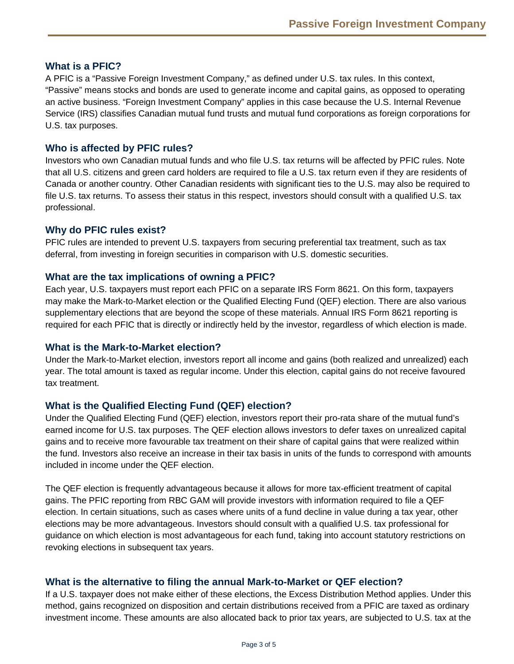## **What is a PFIC?**

A PFIC is a "Passive Foreign Investment Company," as defined under U.S. tax rules. In this context, "Passive" means stocks and bonds are used to generate income and capital gains, as opposed to operating an active business. "Foreign Investment Company" applies in this case because the U.S. Internal Revenue Service (IRS) classifies Canadian mutual fund trusts and mutual fund corporations as foreign corporations for U.S. tax purposes.

### **Who is affected by PFIC rules?**

Investors who own Canadian mutual funds and who file U.S. tax returns will be affected by PFIC rules. Note that all U.S. citizens and green card holders are required to file a U.S. tax return even if they are residents of Canada or another country. Other Canadian residents with significant ties to the U.S. may also be required to file U.S. tax returns. To assess their status in this respect, investors should consult with a qualified U.S. tax professional.

### **Why do PFIC rules exist?**

PFIC rules are intended to prevent U.S. taxpayers from securing preferential tax treatment, such as tax deferral, from investing in foreign securities in comparison with U.S. domestic securities.

### **What are the tax implications of owning a PFIC?**

Each year, U.S. taxpayers must report each PFIC on a separate IRS Form 8621. On this form, taxpayers may make the Mark-to-Market election or the Qualified Electing Fund (QEF) election. There are also various supplementary elections that are beyond the scope of these materials. Annual IRS Form 8621 reporting is required for each PFIC that is directly or indirectly held by the investor, regardless of which election is made.

### **What is the Mark-to-Market election?**

Under the Mark-to-Market election, investors report all income and gains (both realized and unrealized) each year. The total amount is taxed as regular income. Under this election, capital gains do not receive favoured tax treatment.

### **What is the Qualified Electing Fund (QEF) election?**

Under the Qualified Electing Fund (QEF) election, investors report their pro-rata share of the mutual fund's earned income for U.S. tax purposes. The QEF election allows investors to defer taxes on unrealized capital gains and to receive more favourable tax treatment on their share of capital gains that were realized within the fund. Investors also receive an increase in their tax basis in units of the funds to correspond with amounts included in income under the QEF election.

The QEF election is frequently advantageous because it allows for more tax-efficient treatment of capital gains. The PFIC reporting from RBC GAM will provide investors with information required to file a QEF election. In certain situations, such as cases where units of a fund decline in value during a tax year, other elections may be more advantageous. Investors should consult with a qualified U.S. tax professional for guidance on which election is most advantageous for each fund, taking into account statutory restrictions on revoking elections in subsequent tax years.

### **What is the alternative to filing the annual Mark-to-Market or QEF election?**

If a U.S. taxpayer does not make either of these elections, the Excess Distribution Method applies. Under this method, gains recognized on disposition and certain distributions received from a PFIC are taxed as ordinary investment income. These amounts are also allocated back to prior tax years, are subjected to U.S. tax at the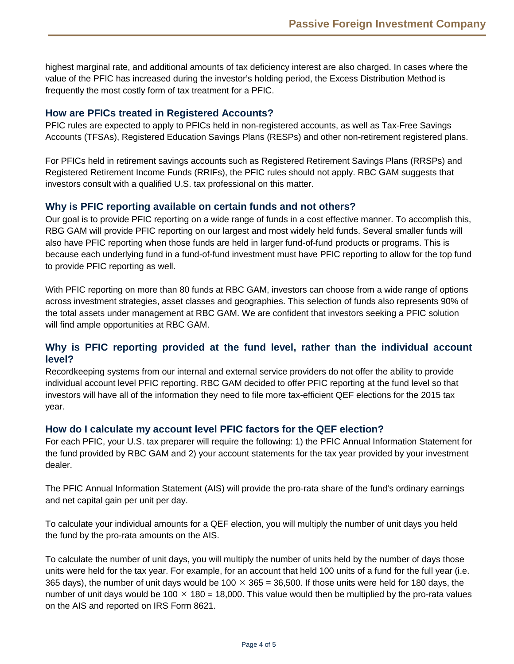highest marginal rate, and additional amounts of tax deficiency interest are also charged. In cases where the value of the PFIC has increased during the investor's holding period, the Excess Distribution Method is frequently the most costly form of tax treatment for a PFIC.

#### **How are PFICs treated in Registered Accounts?**

PFIC rules are expected to apply to PFICs held in non-registered accounts, as well as Tax-Free Savings Accounts (TFSAs), Registered Education Savings Plans (RESPs) and other non-retirement registered plans.

For PFICs held in retirement savings accounts such as Registered Retirement Savings Plans (RRSPs) and Registered Retirement Income Funds (RRIFs), the PFIC rules should not apply. RBC GAM suggests that investors consult with a qualified U.S. tax professional on this matter.

#### **Why is PFIC reporting available on certain funds and not others?**

Our goal is to provide PFIC reporting on a wide range of funds in a cost effective manner. To accomplish this, RBG GAM will provide PFIC reporting on our largest and most widely held funds. Several smaller funds will also have PFIC reporting when those funds are held in larger fund-of-fund products or programs. This is because each underlying fund in a fund-of-fund investment must have PFIC reporting to allow for the top fund to provide PFIC reporting as well.

With PFIC reporting on more than 80 funds at RBC GAM, investors can choose from a wide range of options across investment strategies, asset classes and geographies. This selection of funds also represents 90% of the total assets under management at RBC GAM. We are confident that investors seeking a PFIC solution will find ample opportunities at RBC GAM.

## **Why is PFIC reporting provided at the fund level, rather than the individual account level?**

Recordkeeping systems from our internal and external service providers do not offer the ability to provide individual account level PFIC reporting. RBC GAM decided to offer PFIC reporting at the fund level so that investors will have all of the information they need to file more tax-efficient QEF elections for the 2015 tax year.

#### **How do I calculate my account level PFIC factors for the QEF election?**

For each PFIC, your U.S. tax preparer will require the following: 1) the PFIC Annual Information Statement for the fund provided by RBC GAM and 2) your account statements for the tax year provided by your investment dealer.

The PFIC Annual Information Statement (AIS) will provide the pro-rata share of the fund's ordinary earnings and net capital gain per unit per day.

To calculate your individual amounts for a QEF election, you will multiply the number of unit days you held the fund by the pro-rata amounts on the AIS.

To calculate the number of unit days, you will multiply the number of units held by the number of days those units were held for the tax year. For example, for an account that held 100 units of a fund for the full year (i.e. 365 days), the number of unit days would be 100  $\times$  365 = 36,500. If those units were held for 180 days, the number of unit days would be 100  $\times$  180 = 18,000. This value would then be multiplied by the pro-rata values on the AIS and reported on IRS Form 8621.